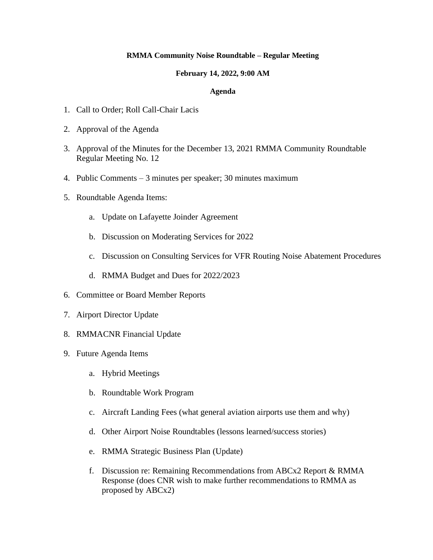## **RMMA Community Noise Roundtable – Regular Meeting**

### **February 14, 2022, 9:00 AM**

## **Agenda**

- 1. Call to Order; Roll Call-Chair Lacis
- 2. Approval of the Agenda
- 3. Approval of the Minutes for the December 13, 2021 RMMA Community Roundtable Regular Meeting No. 12
- 4. Public Comments 3 minutes per speaker; 30 minutes maximum
- 5. Roundtable Agenda Items:
	- a. Update on Lafayette Joinder Agreement
	- b. Discussion on Moderating Services for 2022
	- c. Discussion on Consulting Services for VFR Routing Noise Abatement Procedures
	- d. RMMA Budget and Dues for 2022/2023
- 6. Committee or Board Member Reports
- 7. Airport Director Update
- 8. RMMACNR Financial Update
- 9. Future Agenda Items
	- a. Hybrid Meetings
	- b. Roundtable Work Program
	- c. Aircraft Landing Fees (what general aviation airports use them and why)
	- d. Other Airport Noise Roundtables (lessons learned/success stories)
	- e. RMMA Strategic Business Plan (Update)
	- f. Discussion re: Remaining Recommendations from ABCx2 Report & RMMA Response (does CNR wish to make further recommendations to RMMA as proposed by ABCx2)